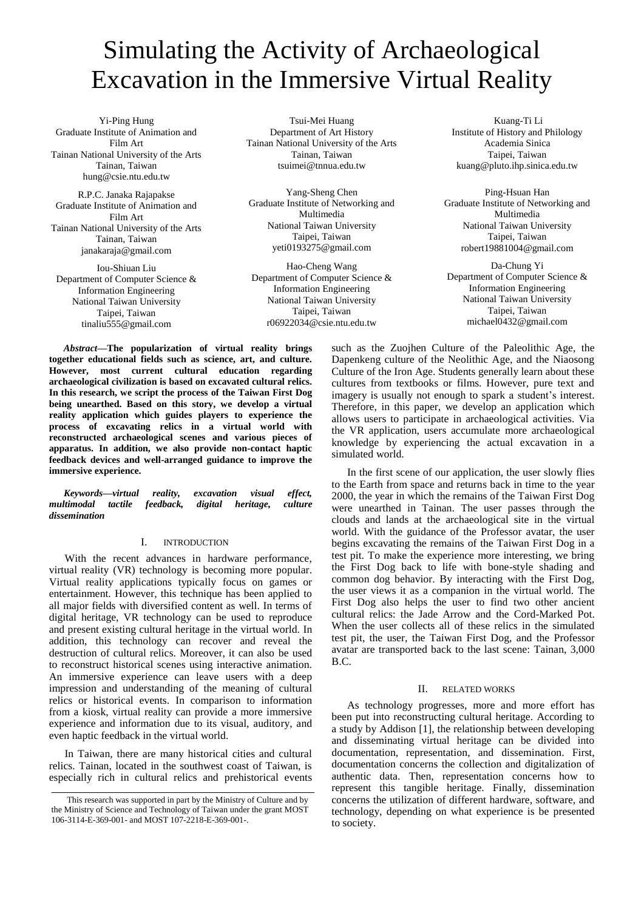# Simulating the Activity of Archaeological Excavation in the Immersive Virtual Reality

Yi-Ping Hung Graduate Institute of Animation and Film Art Tainan National University of the Arts Tainan, Taiwan hung@csie.ntu.edu.tw

R.P.C. Janaka Rajapakse Graduate Institute of Animation and Film Art Tainan National University of the Arts Tainan, Taiwan janakaraja@gmail.com

Iou-Shiuan Liu Department of Computer Science & Information Engineering National Taiwan University Taipei, Taiwan tinaliu555@gmail.com

Tsui-Mei Huang Department of Art History Tainan National University of the Arts Tainan, Taiwan tsuimei@tnnua.edu.tw

Yang-Sheng Chen Graduate Institute of Networking and Multimedia National Taiwan University Taipei, Taiwan yeti0193275@gmail.com

Hao-Cheng Wang Department of Computer Science & Information Engineering National Taiwan University Taipei, Taiwan r06922034@csie.ntu.edu.tw

*Abstract***—The popularization of virtual reality brings together educational fields such as science, art, and culture. However, most current cultural education regarding archaeological civilization is based on excavated cultural relics. In this research, we script the process of the Taiwan First Dog being unearthed. Based on this story, we develop a virtual reality application which guides players to experience the process of excavating relics in a virtual world with reconstructed archaeological scenes and various pieces of apparatus. In addition, we also provide non-contact haptic feedback devices and well-arranged guidance to improve the immersive experience.**

*Keywords—virtual reality, excavation visual effect, multimodal tactile feedback, digital heritage, culture dissemination*

## I. INTRODUCTION

With the recent advances in hardware performance, virtual reality (VR) technology is becoming more popular. Virtual reality applications typically focus on games or entertainment. However, this technique has been applied to all major fields with diversified content as well. In terms of digital heritage, VR technology can be used to reproduce and present existing cultural heritage in the virtual world. In addition, this technology can recover and reveal the destruction of cultural relics. Moreover, it can also be used to reconstruct historical scenes using interactive animation. An immersive experience can leave users with a deep impression and understanding of the meaning of cultural relics or historical events. In comparison to information from a kiosk, virtual reality can provide a more immersive experience and information due to its visual, auditory, and even haptic feedback in the virtual world.

In Taiwan, there are many historical cities and cultural relics. Tainan, located in the southwest coast of Taiwan, is especially rich in cultural relics and prehistorical events

Kuang-Ti Li Institute of History and Philology Academia Sinica Taipei, Taiwan kuang@pluto.ihp.sinica.edu.tw

Ping-Hsuan Han Graduate Institute of Networking and Multimedia National Taiwan University Taipei, Taiwan robert19881004@gmail.com

Da-Chung Yi Department of Computer Science & Information Engineering National Taiwan University Taipei, Taiwan michael0432@gmail.com

such as the Zuojhen Culture of the Paleolithic Age, the Dapenkeng culture of the Neolithic Age, and the Niaosong Culture of the Iron Age. Students generally learn about these cultures from textbooks or films. However, pure text and imagery is usually not enough to spark a student's interest. Therefore, in this paper, we develop an application which allows users to participate in archaeological activities. Via the VR application, users accumulate more archaeological knowledge by experiencing the actual excavation in a simulated world.

In the first scene of our application, the user slowly flies to the Earth from space and returns back in time to the year 2000, the year in which the remains of the Taiwan First Dog were unearthed in Tainan. The user passes through the clouds and lands at the archaeological site in the virtual world. With the guidance of the Professor avatar, the user begins excavating the remains of the Taiwan First Dog in a test pit. To make the experience more interesting, we bring the First Dog back to life with bone-style shading and common dog behavior. By interacting with the First Dog, the user views it as a companion in the virtual world. The First Dog also helps the user to find two other ancient cultural relics: the Jade Arrow and the Cord-Marked Pot. When the user collects all of these relics in the simulated test pit, the user, the Taiwan First Dog, and the Professor avatar are transported back to the last scene: Tainan, 3,000 B.C.

#### II. RELATED WORKS

As technology progresses, more and more effort has been put into reconstructing cultural heritage. According to a study by Addison [1], the relationship between developing and disseminating virtual heritage can be divided into documentation, representation, and dissemination. First, documentation concerns the collection and digitalization of authentic data. Then, representation concerns how to represent this tangible heritage. Finally, dissemination concerns the utilization of different hardware, software, and technology, depending on what experience is be presented to society.

This research was supported in part by the Ministry of Culture and by the Ministry of Science and Technology of Taiwan under the grant MOST 106-3114-E-369-001- and MOST 107-2218-E-369-001-.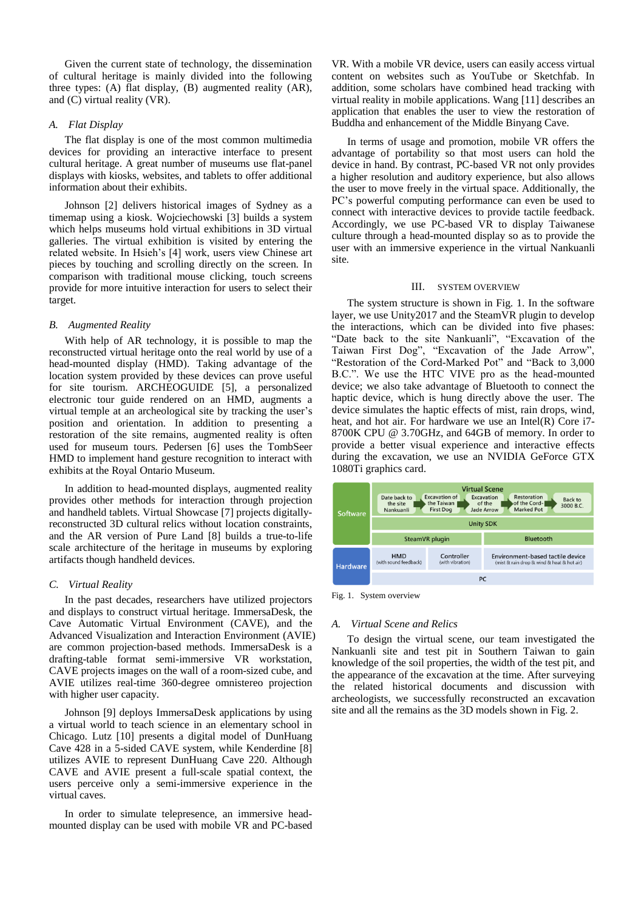Given the current state of technology, the dissemination of cultural heritage is mainly divided into the following three types: (A) flat display, (B) augmented reality (AR), and (C) virtual reality (VR).

## *A. Flat Display*

The flat display is one of the most common multimedia devices for providing an interactive interface to present cultural heritage. A great number of museums use flat-panel displays with kiosks, websites, and tablets to offer additional information about their exhibits.

Johnson [2] delivers historical images of Sydney as a timemap using a kiosk. Wojciechowski [3] builds a system which helps museums hold virtual exhibitions in 3D virtual galleries. The virtual exhibition is visited by entering the related website. In Hsieh's [4] work, users view Chinese art pieces by touching and scrolling directly on the screen. In comparison with traditional mouse clicking, touch screens provide for more intuitive interaction for users to select their target.

### *B. Augmented Reality*

With help of AR technology, it is possible to map the reconstructed virtual heritage onto the real world by use of a head-mounted display (HMD). Taking advantage of the location system provided by these devices can prove useful for site tourism. ARCHEOGUIDE [5], a personalized electronic tour guide rendered on an HMD, augments a virtual temple at an archeological site by tracking the user's position and orientation. In addition to presenting a restoration of the site remains, augmented reality is often used for museum tours. Pedersen [6] uses the TombSeer HMD to implement hand gesture recognition to interact with exhibits at the Royal Ontario Museum.

In addition to head-mounted displays, augmented reality provides other methods for interaction through projection and handheld tablets. Virtual Showcase [7] projects digitallyreconstructed 3D cultural relics without location constraints, and the AR version of Pure Land [8] builds a true-to-life scale architecture of the heritage in museums by exploring artifacts though handheld devices.

#### *C. Virtual Reality*

In the past decades, researchers have utilized projectors and displays to construct virtual heritage. ImmersaDesk, the Cave Automatic Virtual Environment (CAVE), and the Advanced Visualization and Interaction Environment (AVIE) are common projection-based methods. ImmersaDesk is a drafting-table format semi-immersive VR workstation, CAVE projects images on the wall of a room-sized cube, and AVIE utilizes real-time 360-degree omnistereo projection with higher user capacity.

Johnson [9] deploys ImmersaDesk applications by using a virtual world to teach science in an elementary school in Chicago. Lutz [10] presents a digital model of DunHuang Cave 428 in a 5-sided CAVE system, while Kenderdine [8] utilizes AVIE to represent DunHuang Cave 220. Although CAVE and AVIE present a full-scale spatial context, the users perceive only a semi-immersive experience in the virtual caves.

In order to simulate telepresence, an immersive headmounted display can be used with mobile VR and PC-based

VR. With a mobile VR device, users can easily access virtual content on websites such as YouTube or Sketchfab. In addition, some scholars have combined head tracking with virtual reality in mobile applications. Wang [11] describes an application that enables the user to view the restoration of Buddha and enhancement of the Middle Binyang Cave.

In terms of usage and promotion, mobile VR offers the advantage of portability so that most users can hold the device in hand. By contrast, PC-based VR not only provides a higher resolution and auditory experience, but also allows the user to move freely in the virtual space. Additionally, the PC's powerful computing performance can even be used to connect with interactive devices to provide tactile feedback. Accordingly, we use PC-based VR to display Taiwanese culture through a head-mounted display so as to provide the user with an immersive experience in the virtual Nankuanli site.

#### III. SYSTEM OVERVIEW

The system structure is shown in Fig. 1. In the software layer, we use Unity2017 and the SteamVR plugin to develop the interactions, which can be divided into five phases: "Date back to the site Nankuanli", "Excavation of the Taiwan First Dog", "Excavation of the Jade Arrow", "Restoration of the Cord-Marked Pot" and "Back to 3,000 B.C.". We use the HTC VIVE pro as the head-mounted device; we also take advantage of Bluetooth to connect the haptic device, which is hung directly above the user. The device simulates the haptic effects of mist, rain drops, wind, heat, and hot air. For hardware we use an Intel(R) Core i7- 8700K CPU @ 3.70GHz, and 64GB of memory. In order to provide a better visual experience and interactive effects during the excavation, we use an NVIDIA GeForce GTX 1080Ti graphics card.



Fig. 1. System overview

### *A. Virtual Scene and Relics*

To design the virtual scene, our team investigated the Nankuanli site and test pit in Southern Taiwan to gain knowledge of the soil properties, the width of the test pit, and the appearance of the excavation at the time. After surveying the related historical documents and discussion with archeologists, we successfully reconstructed an excavation site and all the remains as the 3D models shown in Fig. 2.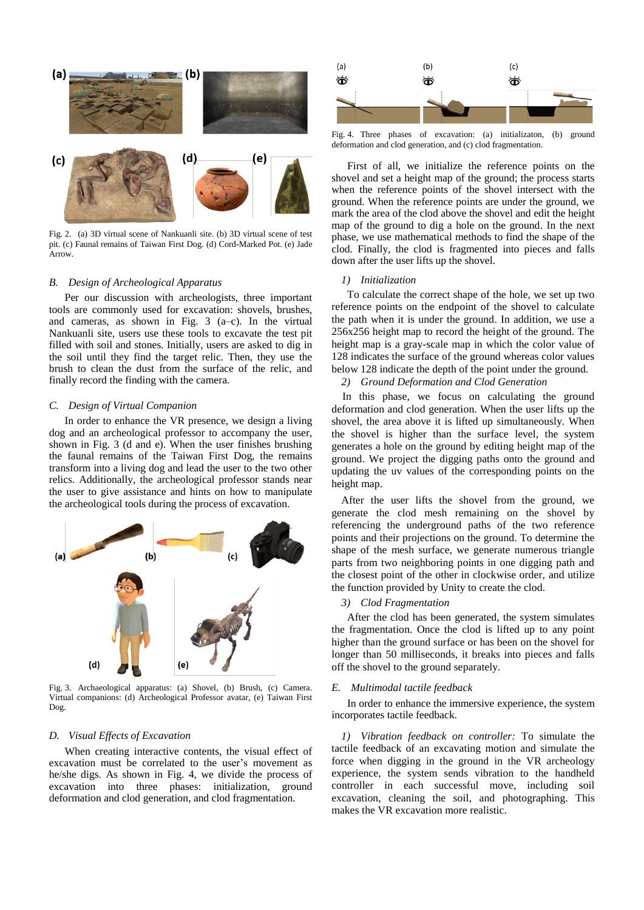

Fig. 2. (a) 3D virtual scene of Nankuanli site. (b) 3D virtual scene of test pit. (c) Faunal remains of Taiwan First Dog. (d) Cord-Marked Pot. (e) Jade Arrow.

#### *B. Design of Archeological Apparatus*

Per our discussion with archeologists, three important tools are commonly used for excavation: shovels, brushes, and cameras, as shown in Fig.  $3(a-c)$ . In the virtual Nankuanli site, users use these tools to excavate the test pit filled with soil and stones. Initially, users are asked to dig in the soil until they find the target relic. Then, they use the brush to clean the dust from the surface of the relic, and finally record the finding with the camera.

#### *C. Design of Virtual Companion*

In order to enhance the VR presence, we design a living dog and an archeological professor to accompany the user, shown in Fig. 3 (d and e). When the user finishes brushing the faunal remains of the Taiwan First Dog, the remains transform into a living dog and lead the user to the two other relics. Additionally, the archeological professor stands near the user to give assistance and hints on how to manipulate the archeological tools during the process of excavation.



Fig. 3. Archaeological apparatus: (a) Shovel, (b) Brush, (c) Camera. Virtual companions: (d) Archeological Professor avatar, (e) Taiwan First Dog.

#### *D. Visual Effects of Excavation*

When creating interactive contents, the visual effect of excavation must be correlated to the user's movement as he/she digs. As shown in Fig. 4, we divide the process of excavation into three phases: initialization, ground deformation and clod generation, and clod fragmentation.



Fig. 4. Three phases of excavation: (a) initializaton, (b) ground deformation and clod generation, and (c) clod fragmentation.

First of all, we initialize the reference points on the shovel and set a height map of the ground; the process starts when the reference points of the shovel intersect with the ground. When the reference points are under the ground, we mark the area of the clod above the shovel and edit the height map of the ground to dig a hole on the ground. In the next phase, we use mathematical methods to find the shape of the clod. Finally, the clod is fragmented into pieces and falls down after the user lifts up the shovel.

### *1) Initialization*

To calculate the correct shape of the hole, we set up two reference points on the endpoint of the shovel to calculate the path when it is under the ground. In addition, we use a 256x256 height map to record the height of the ground. The height map is a gray-scale map in which the color value of 128 indicates the surface of the ground whereas color values below 128 indicate the depth of the point under the ground.

## *2) Ground Deformation and Clod Generation*

In this phase, we focus on calculating the ground deformation and clod generation. When the user lifts up the shovel, the area above it is lifted up simultaneously. When the shovel is higher than the surface level, the system generates a hole on the ground by editing height map of the ground. We project the digging paths onto the ground and updating the uv values of the corresponding points on the height map.

After the user lifts the shovel from the ground, we generate the clod mesh remaining on the shovel by referencing the underground paths of the two reference points and their projections on the ground. To determine the shape of the mesh surface, we generate numerous triangle parts from two neighboring points in one digging path and the closest point of the other in clockwise order, and utilize the function provided by Unity to create the clod.

## *3) Clod Fragmentation*

After the clod has been generated, the system simulates the fragmentation. Once the clod is lifted up to any point higher than the ground surface or has been on the shovel for longer than 50 milliseconds, it breaks into pieces and falls off the shovel to the ground separately.

#### *E. Multimodal tactile feedback*

In order to enhance the immersive experience, the system incorporates tactile feedback.

*1) Vibration feedback on controller:* To simulate the tactile feedback of an excavating motion and simulate the force when digging in the ground in the VR archeology experience, the system sends vibration to the handheld controller in each successful move, including soil excavation, cleaning the soil, and photographing. This makes the VR excavation more realistic.